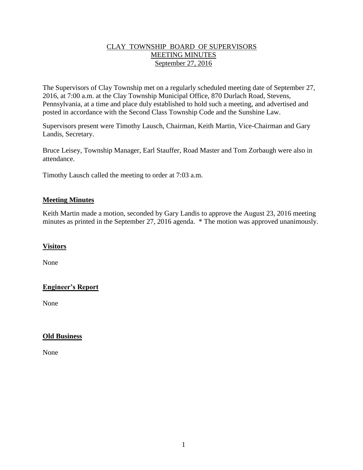#### CLAY TOWNSHIP BOARD OF SUPERVISORS MEETING MINUTES September 27, 2016

The Supervisors of Clay Township met on a regularly scheduled meeting date of September 27, 2016, at 7:00 a.m. at the Clay Township Municipal Office, 870 Durlach Road, Stevens, Pennsylvania, at a time and place duly established to hold such a meeting, and advertised and posted in accordance with the Second Class Township Code and the Sunshine Law.

Supervisors present were Timothy Lausch, Chairman, Keith Martin, Vice-Chairman and Gary Landis, Secretary.

Bruce Leisey, Township Manager, Earl Stauffer, Road Master and Tom Zorbaugh were also in attendance.

Timothy Lausch called the meeting to order at 7:03 a.m.

### **Meeting Minutes**

Keith Martin made a motion, seconded by Gary Landis to approve the August 23, 2016 meeting minutes as printed in the September 27, 2016 agenda. \* The motion was approved unanimously.

# **Visitors**

None

# **Engineer's Report**

None

# **Old Business**

None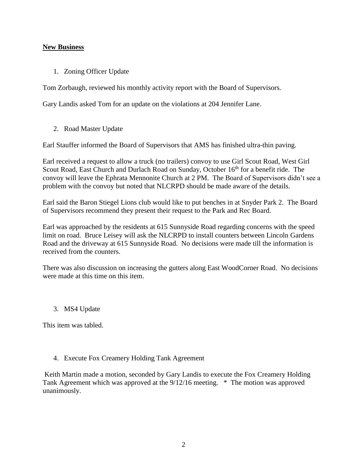#### **New Business**

1. Zoning Officer Update

Tom Zorbaugh, reviewed his monthly activity report with the Board of Supervisors.

Gary Landis asked Tom for an update on the violations at 204 Jennifer Lane.

2. Road Master Update

Earl Stauffer informed the Board of Supervisors that AMS has finished ultra-thin paving.

Earl received a request to allow a truck (no trailers) convoy to use Girl Scout Road, West Girl Scout Road, East Church and Durlach Road on Sunday, October 16<sup>th</sup> for a benefit ride. The convoy will leave the Ephrata Mennonite Church at 2 PM. The Board of Supervisors didn't see a problem with the convoy but noted that NLCRPD should be made aware of the details.

Earl said the Baron Stiegel Lions club would like to put benches in at Snyder Park 2. The Board of Supervisors recommend they present their request to the Park and Rec Board.

Earl was approached by the residents at 615 Sunnyside Road regarding concerns with the speed limit on road. Bruce Leisey will ask the NLCRPD to install counters between Lincoln Gardens Road and the driveway at 615 Sunnyside Road. No decisions were made till the information is received from the counters.

There was also discussion on increasing the gutters along East WoodCorner Road. No decisions were made at this time on this item.

#### 3. MS4 Update

This item was tabled.

#### 4. Execute Fox Creamery Holding Tank Agreement

Keith Martin made a motion, seconded by Gary Landis to execute the Fox Creamery Holding Tank Agreement which was approved at the 9/12/16 meeting. \* The motion was approved unanimously.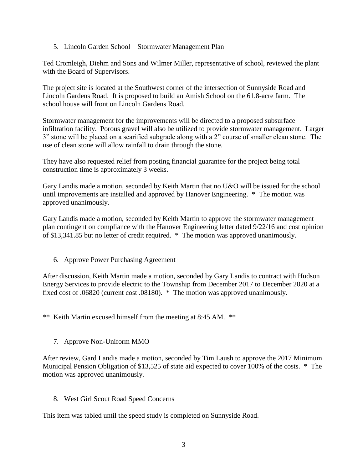5. Lincoln Garden School – Stormwater Management Plan

Ted Cromleigh, Diehm and Sons and Wilmer Miller, representative of school, reviewed the plant with the Board of Supervisors.

The project site is located at the Southwest corner of the intersection of Sunnyside Road and Lincoln Gardens Road. It is proposed to build an Amish School on the 61.8-acre farm. The school house will front on Lincoln Gardens Road.

Stormwater management for the improvements will be directed to a proposed subsurface infiltration facility. Porous gravel will also be utilized to provide stormwater management. Larger 3" stone will be placed on a scarified subgrade along with a 2" course of smaller clean stone. The use of clean stone will allow rainfall to drain through the stone.

They have also requested relief from posting financial guarantee for the project being total construction time is approximately 3 weeks.

Gary Landis made a motion, seconded by Keith Martin that no U&O will be issued for the school until improvements are installed and approved by Hanover Engineering. \* The motion was approved unanimously.

Gary Landis made a motion, seconded by Keith Martin to approve the stormwater management plan contingent on compliance with the Hanover Engineering letter dated 9/22/16 and cost opinion of \$13,341.85 but no letter of credit required. \* The motion was approved unanimously.

6. Approve Power Purchasing Agreement

After discussion, Keith Martin made a motion, seconded by Gary Landis to contract with Hudson Energy Services to provide electric to the Township from December 2017 to December 2020 at a fixed cost of .06820 (current cost .08180). \* The motion was approved unanimously.

\*\* Keith Martin excused himself from the meeting at 8:45 AM. \*\*

7. Approve Non-Uniform MMO

After review, Gard Landis made a motion, seconded by Tim Laush to approve the 2017 Minimum Municipal Pension Obligation of \$13,525 of state aid expected to cover 100% of the costs. \* The motion was approved unanimously.

8. West Girl Scout Road Speed Concerns

This item was tabled until the speed study is completed on Sunnyside Road.